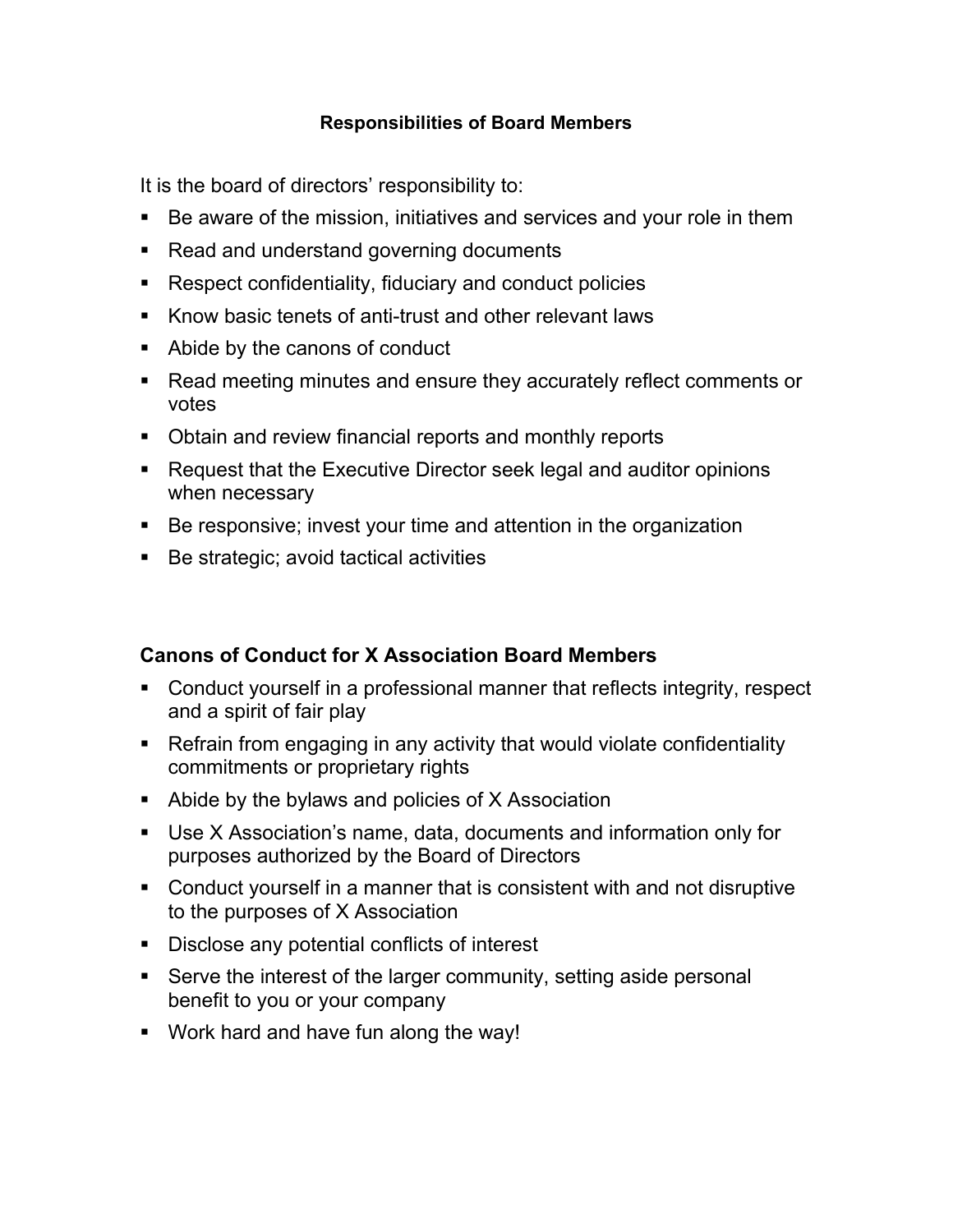## **Responsibilities of Board Members**

It is the board of directors' responsibility to:

- **Be aware of the mission, initiatives and services and your role in them**
- Read and understand governing documents
- **Respect confidentiality, fiduciary and conduct policies**
- Know basic tenets of anti-trust and other relevant laws
- Abide by the canons of conduct
- Read meeting minutes and ensure they accurately reflect comments or votes
- Obtain and review financial reports and monthly reports
- Request that the Executive Director seek legal and auditor opinions when necessary
- Be responsive; invest your time and attention in the organization
- Be strategic; avoid tactical activities

## **Canons of Conduct for X Association Board Members**

- Conduct yourself in a professional manner that reflects integrity, respect and a spirit of fair play
- Refrain from engaging in any activity that would violate confidentiality commitments or proprietary rights
- Abide by the bylaws and policies of X Association
- Use X Association's name, data, documents and information only for purposes authorized by the Board of Directors
- Conduct yourself in a manner that is consistent with and not disruptive to the purposes of X Association
- Disclose any potential conflicts of interest
- Serve the interest of the larger community, setting aside personal benefit to you or your company
- Work hard and have fun along the way!